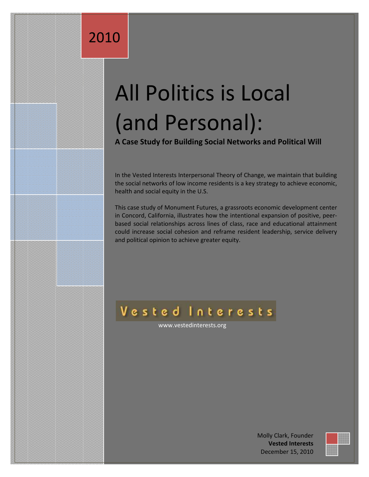## 2010

# All Politics is Local (and Personal):

**A Case Study for Building Social Networks and Political Will**

In the Vested Interests Interpersonal Theory of Change, we maintain that building the social networks of low income residents is a key strategy to achieve economic, health and social equity in the U.S.

This case study of Monument Futures, a grassroots economic development center in Concord, California, illustrates how the intentional expansion of positive, peerbased social relationships across lines of class, race and educational attainment could increase social cohesion and reframe resident leadership, service delivery and political opinion to achieve greater equity.

### Vested Interests

www.vestedinterests.org

Molly Clark, Founder **Vested Interests** December 15, 2010

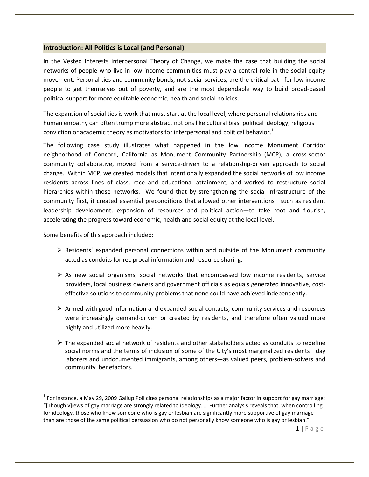### **Introduction: All Politics is Local (and Personal)**

In the Vested Interests Interpersonal Theory of Change, we make the case that building the social networks of people who live in low income communities must play a central role in the social equity movement. Personal ties and community bonds, not social services, are the critical path for low income people to get themselves out of poverty, and are the most dependable way to build broad-based political support for more equitable economic, health and social policies.

The expansion of social ties is work that must start at the local level, where personal relationships and human empathy can often trump more abstract notions like cultural bias, political ideology, religious conviction or academic theory as motivators for interpersonal and political behavior.<sup>1</sup>

The following case study illustrates what happened in the low income Monument Corridor neighborhood of Concord, California as Monument Community Partnership (MCP), a cross-sector community collaborative, moved from a service-driven to a relationship-driven approach to social change. Within MCP, we created models that intentionally expanded the social networks of low income residents across lines of class, race and educational attainment, and worked to restructure social hierarchies within those networks. We found that by strengthening the social infrastructure of the community first, it created essential preconditions that allowed other interventions—such as resident leadership development, expansion of resources and political action—to take root and flourish, accelerating the progress toward economic, health and social equity at the local level.

Some benefits of this approach included:

 $\overline{a}$ 

- $\triangleright$  Residents' expanded personal connections within and outside of the Monument community acted as conduits for reciprocal information and resource sharing.
- $\triangleright$  As new social organisms, social networks that encompassed low income residents, service providers, local business owners and government officials as equals generated innovative, costeffective solutions to community problems that none could have achieved independently.
- $\triangleright$  Armed with good information and expanded social contacts, community services and resources were increasingly demand-driven or created by residents, and therefore often valued more highly and utilized more heavily.
- $\triangleright$  The expanded social network of residents and other stakeholders acted as conduits to redefine social norms and the terms of inclusion of some of the City's most marginalized residents—day laborers and undocumented immigrants, among others—as valued peers, problem-solvers and community benefactors.

 $^1$  For instance, a May 29, 2009 Gallup Poll cites personal relationships as a major factor in support for gay marriage: "[Though v]iews of gay marriage are strongly related to ideology. … Further analysis reveals that, when controlling for ideology, those who know someone who is gay or lesbian are significantly more supportive of gay marriage than are those of the same political persuasion who do not personally know someone who is gay or lesbian."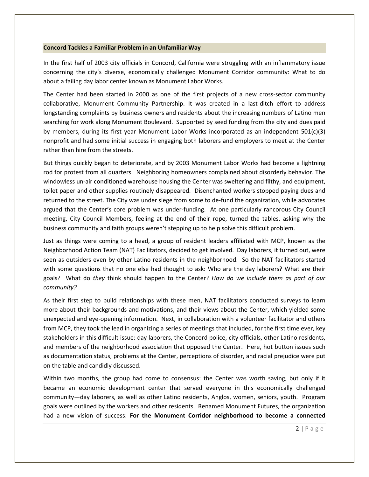#### **Concord Tackles a Familiar Problem in an Unfamiliar Way**

In the first half of 2003 city officials in Concord, California were struggling with an inflammatory issue concerning the city's diverse, economically challenged Monument Corridor community: What to do about a failing day labor center known as Monument Labor Works.

The Center had been started in 2000 as one of the first projects of a new cross-sector community collaborative, Monument Community Partnership. It was created in a last-ditch effort to address longstanding complaints by business owners and residents about the increasing numbers of Latino men searching for work along Monument Boulevard. Supported by seed funding from the city and dues paid by members, during its first year Monument Labor Works incorporated as an independent 501(c)(3) nonprofit and had some initial success in engaging both laborers and employers to meet at the Center rather than hire from the streets.

But things quickly began to deteriorate, and by 2003 Monument Labor Works had become a lightning rod for protest from all quarters. Neighboring homeowners complained about disorderly behavior. The windowless un-air conditioned warehouse housing the Center was sweltering and filthy, and equipment, toilet paper and other supplies routinely disappeared. Disenchanted workers stopped paying dues and returned to the street. The City was under siege from some to de-fund the organization, while advocates argued that the Center's core problem was under-funding. At one particularly rancorous City Council meeting, City Council Members, feeling at the end of their rope, turned the tables, asking why the business community and faith groups weren't stepping up to help solve this difficult problem.

Just as things were coming to a head, a group of resident leaders affiliated with MCP, known as the Neighborhood Action Team (NAT) Facilitators, decided to get involved. Day laborers, it turned out, were seen as outsiders even by other Latino residents in the neighborhood. So the NAT facilitators started with some questions that no one else had thought to ask: Who are the day laborers? What are their goals? What do *they* think should happen to the Center? *How do we include them as part of our community?*

As their first step to build relationships with these men, NAT facilitators conducted surveys to learn more about their backgrounds and motivations, and their views about the Center, which yielded some unexpected and eye-opening information. Next, in collaboration with a volunteer facilitator and others from MCP, they took the lead in organizing a series of meetings that included, for the first time ever, key stakeholders in this difficult issue: day laborers, the Concord police, city officials, other Latino residents, and members of the neighborhood association that opposed the Center. Here, hot button issues such as documentation status, problems at the Center, perceptions of disorder, and racial prejudice were put on the table and candidly discussed.

Within two months, the group had come to consensus: the Center was worth saving, but only if it became an economic development center that served everyone in this economically challenged community—day laborers, as well as other Latino residents, Anglos, women, seniors, youth. Program goals were outlined by the workers and other residents. Renamed Monument Futures, the organization had a new vision of success: **For the Monument Corridor neighborhood to become a connected**